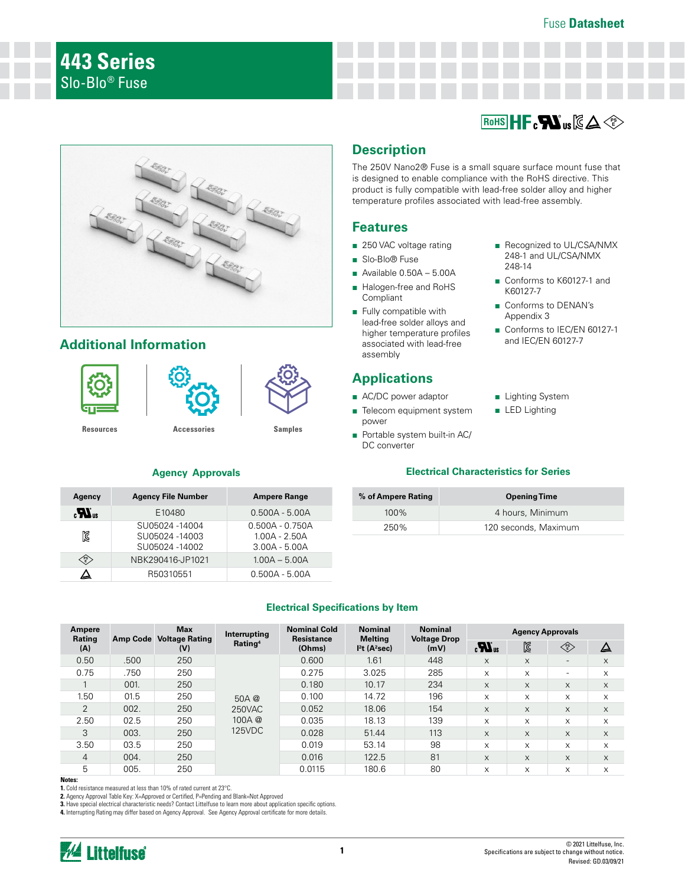## Fuse **Datasheet**





# **Additional Information**





**[Resources](https://www.littelfuse.com/products/fuses/surface-mount-fuses/nano-2-fuses/443.aspx#TechnicalResources) [Accessories](https://www.littelfuse.com/products/fuses/surface-mount-fuses/nano-2-fuses/443.aspx#EnvironmentalInfo) [Samples](https://www.littelfuse.com/products/fuses/surface-mount-fuses/nano-2-fuses/443.aspx#ElectricalCharacteristics)**

| Agency                                                                                      | <b>Agency File Number</b>                       | <b>Ampere Range</b>                                     |
|---------------------------------------------------------------------------------------------|-------------------------------------------------|---------------------------------------------------------|
| $\boldsymbol{R}$                                                                            | E10480                                          | $0.500A - 5.00A$                                        |
| K                                                                                           | SU05024-14004<br>SU05024-14003<br>SU05024-14002 | $0.500A - 0.750A$<br>$1.00A - 2.50A$<br>$3.00A - 5.00A$ |
| $\left\langle \begin{smallmatrix} \texttt{PS} \ \texttt{E} \end{smallmatrix} \right\rangle$ | NBK290416-JP1021                                | $1.00A - 5.00A$                                         |
|                                                                                             | R50310551                                       | $0.500A - 5.00A$                                        |

## **Description**

The 250V Nano2® Fuse is a small square surface mount fuse that is designed to enable compliance with the RoHS directive. This product is fully compatible with lead-free solder alloy and higher temperature profiles associated with lead-free assembly.

## **Features**

- 250 VAC voltage rating
- Slo-Blo® Fuse
- $\blacksquare$  Available 0.50A 5.00A
- Halogen-free and RoHS **Compliant**
- Fully compatible with lead-free solder alloys and higher temperature profiles associated with lead-free assembly

# **Applications**

- AC/DC power adaptor
- Telecom equipment system power
- Portable system built-in AC/ DC converter
- Recognized to UL/CSA/NMX 248-1 and UL/CSA/NMX 248-14
- Conforms to K60127-1 and K60127-7
- Conforms to DENAN's Appendix 3
- Conforms to IEC/EN 60127-1 and IEC/EN 60127-7
- Lighting System
- LED Lighting

## **Agency Approvals Electrical Characteristics for Series**

| % of Ampere Rating | <b>Opening Time</b>  |
|--------------------|----------------------|
| $100\%$            | 4 hours, Minimum     |
| 250%               | 120 seconds, Maximum |

## **Electrical Specifications by Item**

| Ampere<br>Rating |      | <b>Max</b><br>Amp Code Voltage Rating | Interrupting                       | <b>Nominal Cold</b><br><b>Nominal</b><br><b>Nominal</b><br><b>Resistance</b><br><b>Melting</b><br><b>Voltage Drop</b> |                                       | <b>Agency Approvals</b> |                  |    |                                                                                |          |
|------------------|------|---------------------------------------|------------------------------------|-----------------------------------------------------------------------------------------------------------------------|---------------------------------------|-------------------------|------------------|----|--------------------------------------------------------------------------------|----------|
| (A)              |      | (V)                                   | Rating <sup>4</sup>                | (Ohms)                                                                                                                | I <sup>2</sup> t (A <sup>2</sup> sec) | (mV)                    | $\boldsymbol{u}$ | N  | $\left\langle \begin{matrix} \text{PS} \\ \text{E} \end{matrix} \right\rangle$ | △        |
| 0.50             | .500 | 250                                   |                                    | 0.600                                                                                                                 | 1.61                                  | 448                     | X                | X  | $\overline{\phantom{a}}$                                                       | X        |
| 0.75             | .750 | 250                                   |                                    | 0.275                                                                                                                 | 3.025                                 | 285                     | X                | X  | $\overline{\phantom{0}}$                                                       | $\times$ |
|                  | 001. | 250                                   | 50A @<br>250VAC<br>100A@<br>125VDC | 0.180                                                                                                                 | 10.17                                 | 234                     | X                | X  | X                                                                              | X        |
| 1.50             | 01.5 | 250                                   |                                    | 0.100                                                                                                                 | 14.72                                 | 196                     | X                | X  | X                                                                              | X        |
| $\overline{2}$   | 002. | 250                                   |                                    | 0.052                                                                                                                 | 18.06                                 | 154                     | X                | X. | X                                                                              | X        |
| 2.50             | 02.5 | 250                                   |                                    | 0.035                                                                                                                 | 18.13                                 | 139                     | X                | X  | X                                                                              | X        |
| 3                | 003. | 250                                   |                                    | 0.028                                                                                                                 | 51.44                                 | 113                     | X                | X  | X                                                                              | X        |
| 3.50             | 03.5 | 250                                   |                                    | 0.019                                                                                                                 | 53.14                                 | 98                      | X                | X  | X                                                                              | X        |
| 4                | 004. | 250                                   |                                    | 0.016                                                                                                                 | 122.5                                 | 81                      | X                | X  | $\times$                                                                       | $\times$ |
| 5                | 005. | 250                                   |                                    | 0.0115                                                                                                                | 180.6                                 | 80                      | X                | X  | X                                                                              | $\times$ |

**Notes:** 

**1.** Cold resistance measured at less than 10% of rated current at 23°C.

2. Agency Approval Table Key: X=Approved or Certified, P=Pending and Blank=Not Approved

**3.** Have special electrical characteristic needs? Contact Littelfuse to learn more about application specific options.<br>**4.** Interrupting Rating may differ based on Agency Approval. See Agency Approval certificate for mor

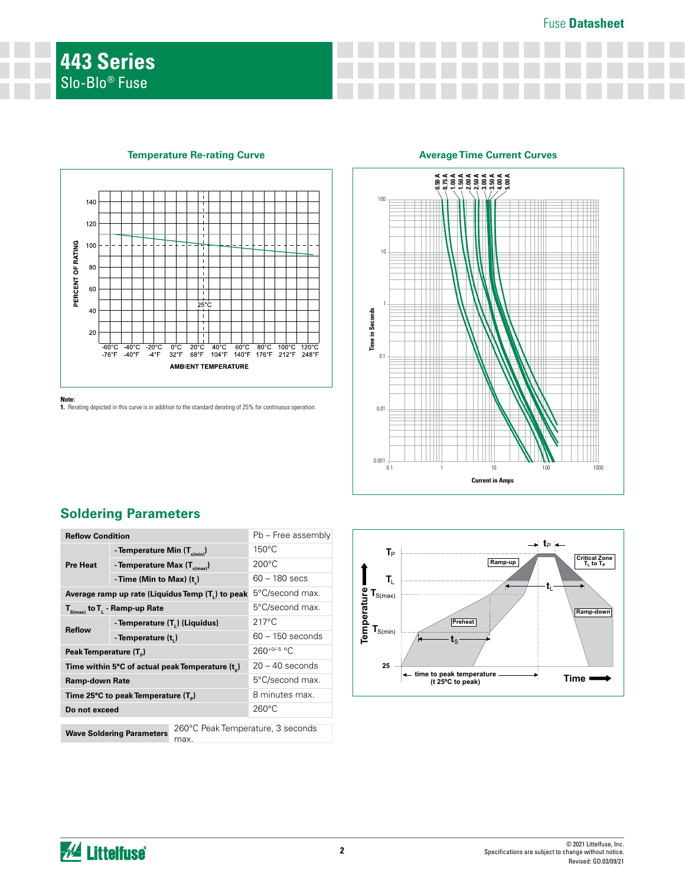

**Temperature Re-rating Curve Average Time Current Curves** 

### **Note:**

**1.** Rerating depicted in this curve is in addition to the standard derating of 25% for continuous operation.



# **Soldering Parameters**

| <b>Reflow Condition</b>                          |                                         |                                   | Pb - Free assembly |  |  |
|--------------------------------------------------|-----------------------------------------|-----------------------------------|--------------------|--|--|
| <b>Pre Heat</b>                                  | - Temperature Min (T <sub>s(min</sub> ) |                                   | $150^{\circ}$ C    |  |  |
|                                                  | - Temperature Max $(T_{s(max)})$        |                                   | $200^{\circ}$ C    |  |  |
|                                                  | - Time (Min to Max) (t)                 |                                   | $60 - 180$ secs    |  |  |
| Average ramp up rate (Liquidus Temp (T,) to peak |                                         |                                   | 5°C/second max.    |  |  |
| $T_{\rm s(max)}$ to $T_{\rm L}$ - Ramp-up Rate   |                                         |                                   | 5°C/second max.    |  |  |
| <b>Reflow</b>                                    | - Temperature $(T_L)$ (Liquidus)        |                                   | $217^{\circ}$ C    |  |  |
|                                                  | - Temperature (t)                       | $60 - 150$ seconds                |                    |  |  |
| Peak Temperature (T <sub>n</sub> )               |                                         |                                   | $260^{+0/-5}$ °C   |  |  |
| Time within 5°C of actual peak Temperature (t)   |                                         |                                   | $20 - 40$ seconds  |  |  |
| <b>Ramp-down Rate</b>                            |                                         |                                   | 5°C/second max.    |  |  |
| Time 25°C to peak Temperature (T <sub>a</sub> )  |                                         |                                   | 8 minutes max.     |  |  |
| Do not exceed                                    |                                         |                                   | $260^{\circ}$ C    |  |  |
|                                                  |                                         | 260°C Peak Temperature, 3 seconds |                    |  |  |
|                                                  | <b>Wave Soldering Parameters</b>        | max.                              |                    |  |  |



*M* Littelfuse